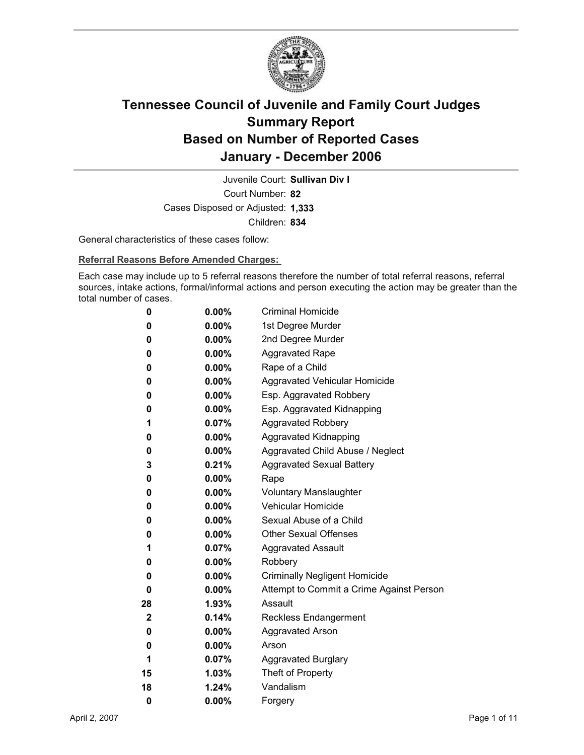

Court Number: **82** Juvenile Court: **Sullivan Div I** Cases Disposed or Adjusted: **1,333** Children: **834**

General characteristics of these cases follow:

**Referral Reasons Before Amended Charges:** 

Each case may include up to 5 referral reasons therefore the number of total referral reasons, referral sources, intake actions, formal/informal actions and person executing the action may be greater than the total number of cases.

| 0           | $0.00\%$ | <b>Criminal Homicide</b>                 |
|-------------|----------|------------------------------------------|
| 0           | $0.00\%$ | 1st Degree Murder                        |
| 0           | $0.00\%$ | 2nd Degree Murder                        |
| 0           | $0.00\%$ | <b>Aggravated Rape</b>                   |
| 0           | $0.00\%$ | Rape of a Child                          |
| 0           | $0.00\%$ | Aggravated Vehicular Homicide            |
| 0           | $0.00\%$ | Esp. Aggravated Robbery                  |
| 0           | $0.00\%$ | Esp. Aggravated Kidnapping               |
| 1           | $0.07\%$ | <b>Aggravated Robbery</b>                |
| 0           | $0.00\%$ | <b>Aggravated Kidnapping</b>             |
| 0           | $0.00\%$ | Aggravated Child Abuse / Neglect         |
| 3           | $0.21\%$ | <b>Aggravated Sexual Battery</b>         |
| 0           | $0.00\%$ | Rape                                     |
| 0           | $0.00\%$ | <b>Voluntary Manslaughter</b>            |
| 0           | $0.00\%$ | <b>Vehicular Homicide</b>                |
| 0           | $0.00\%$ | Sexual Abuse of a Child                  |
| 0           | $0.00\%$ | <b>Other Sexual Offenses</b>             |
| 1           | $0.07\%$ | <b>Aggravated Assault</b>                |
| 0           | $0.00\%$ | Robbery                                  |
| 0           | $0.00\%$ | <b>Criminally Negligent Homicide</b>     |
| 0           | $0.00\%$ | Attempt to Commit a Crime Against Person |
| 28          | $1.93\%$ | Assault                                  |
| $\mathbf 2$ | 0.14%    | Reckless Endangerment                    |
| 0           | $0.00\%$ | <b>Aggravated Arson</b>                  |
| 0           | $0.00\%$ | Arson                                    |
| 1           | $0.07\%$ | <b>Aggravated Burglary</b>               |
| 15          | $1.03\%$ | Theft of Property                        |
| 18          | 1.24%    | Vandalism                                |
| 0           | 0.00%    | Forgery                                  |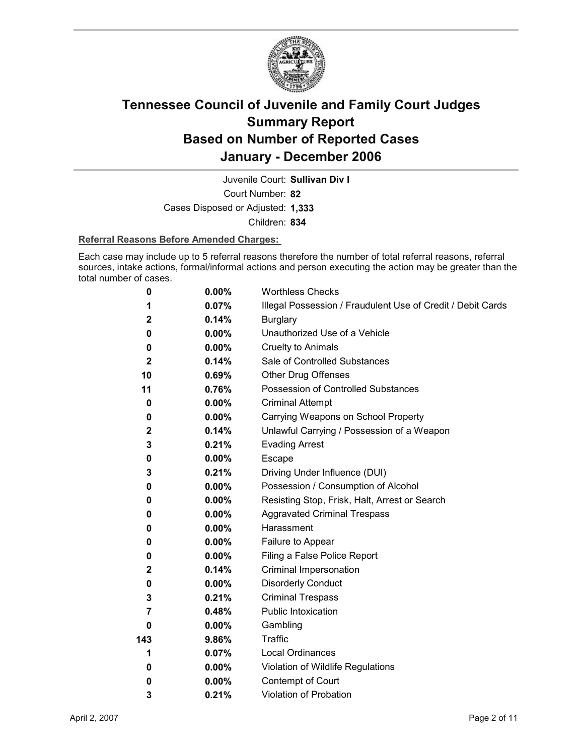

Juvenile Court: **Sullivan Div I**

Court Number: **82**

Cases Disposed or Adjusted: **1,333**

Children: **834**

#### **Referral Reasons Before Amended Charges:**

Each case may include up to 5 referral reasons therefore the number of total referral reasons, referral sources, intake actions, formal/informal actions and person executing the action may be greater than the total number of cases.

| 0                | 0.00%    | <b>Worthless Checks</b>                                     |
|------------------|----------|-------------------------------------------------------------|
| 1                | 0.07%    | Illegal Possession / Fraudulent Use of Credit / Debit Cards |
| $\mathbf 2$      | 0.14%    | <b>Burglary</b>                                             |
| 0                | $0.00\%$ | Unauthorized Use of a Vehicle                               |
| 0                | 0.00%    | <b>Cruelty to Animals</b>                                   |
| $\boldsymbol{2}$ | 0.14%    | Sale of Controlled Substances                               |
| 10               | 0.69%    | <b>Other Drug Offenses</b>                                  |
| 11               | 0.76%    | Possession of Controlled Substances                         |
| 0                | 0.00%    | <b>Criminal Attempt</b>                                     |
| 0                | $0.00\%$ | Carrying Weapons on School Property                         |
| $\mathbf{2}$     | 0.14%    | Unlawful Carrying / Possession of a Weapon                  |
| 3                | 0.21%    | <b>Evading Arrest</b>                                       |
| 0                | $0.00\%$ | Escape                                                      |
| 3                | 0.21%    | Driving Under Influence (DUI)                               |
| 0                | $0.00\%$ | Possession / Consumption of Alcohol                         |
| 0                | $0.00\%$ | Resisting Stop, Frisk, Halt, Arrest or Search               |
| 0                | $0.00\%$ | <b>Aggravated Criminal Trespass</b>                         |
| 0                | $0.00\%$ | Harassment                                                  |
| 0                | $0.00\%$ | Failure to Appear                                           |
| 0                | $0.00\%$ | Filing a False Police Report                                |
| $\mathbf 2$      | 0.14%    | Criminal Impersonation                                      |
| 0                | $0.00\%$ | <b>Disorderly Conduct</b>                                   |
| 3                | 0.21%    | <b>Criminal Trespass</b>                                    |
| 7                | 0.48%    | Public Intoxication                                         |
| 0                | $0.00\%$ | Gambling                                                    |
| 143              | 9.86%    | <b>Traffic</b>                                              |
| 1                | $0.07\%$ | <b>Local Ordinances</b>                                     |
| 0                | $0.00\%$ | Violation of Wildlife Regulations                           |
| 0                | $0.00\%$ | Contempt of Court                                           |
| 3                | 0.21%    | Violation of Probation                                      |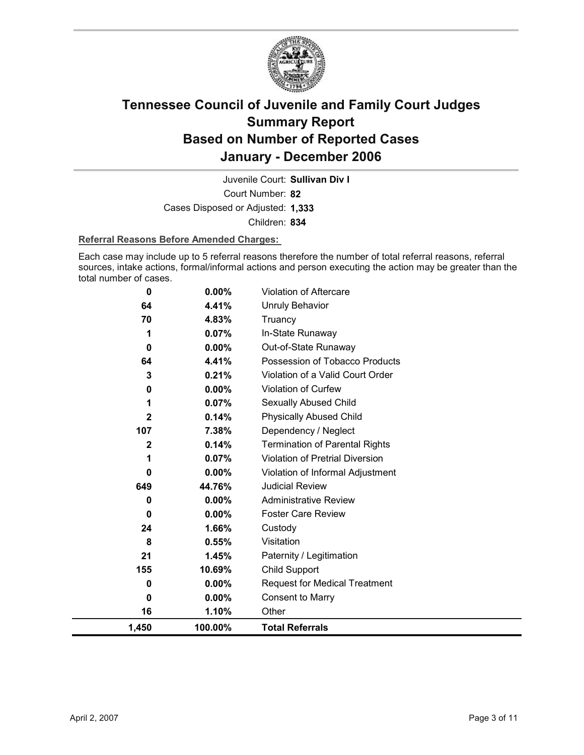

Court Number: **82** Juvenile Court: **Sullivan Div I** Cases Disposed or Adjusted: **1,333** Children: **834**

#### **Referral Reasons Before Amended Charges:**

Each case may include up to 5 referral reasons therefore the number of total referral reasons, referral sources, intake actions, formal/informal actions and person executing the action may be greater than the total number of cases.

| 0            | 0.00%    | Violation of Aftercare                 |
|--------------|----------|----------------------------------------|
| 64           | 4.41%    | Unruly Behavior                        |
| 70           | 4.83%    | Truancy                                |
| 1            | 0.07%    | In-State Runaway                       |
| 0            | 0.00%    | Out-of-State Runaway                   |
| 64           | 4.41%    | Possession of Tobacco Products         |
| 3            | 0.21%    | Violation of a Valid Court Order       |
| 0            | 0.00%    | Violation of Curfew                    |
|              | 0.07%    | Sexually Abused Child                  |
| 2            | 0.14%    | <b>Physically Abused Child</b>         |
| 107          | 7.38%    | Dependency / Neglect                   |
| $\mathbf{2}$ | 0.14%    | <b>Termination of Parental Rights</b>  |
|              | 0.07%    | <b>Violation of Pretrial Diversion</b> |
| 0            | $0.00\%$ | Violation of Informal Adjustment       |
| 649          | 44.76%   | <b>Judicial Review</b>                 |
| 0            | 0.00%    | <b>Administrative Review</b>           |
| 0            | $0.00\%$ | <b>Foster Care Review</b>              |
| 24           | 1.66%    | Custody                                |
| 8            | 0.55%    | Visitation                             |
| 21           | 1.45%    | Paternity / Legitimation               |
| 155          | 10.69%   | Child Support                          |
| 0            | $0.00\%$ | <b>Request for Medical Treatment</b>   |
| 0            | $0.00\%$ | <b>Consent to Marry</b>                |
| 16           | 1.10%    | Other                                  |
| 1,450        | 100.00%  | <b>Total Referrals</b>                 |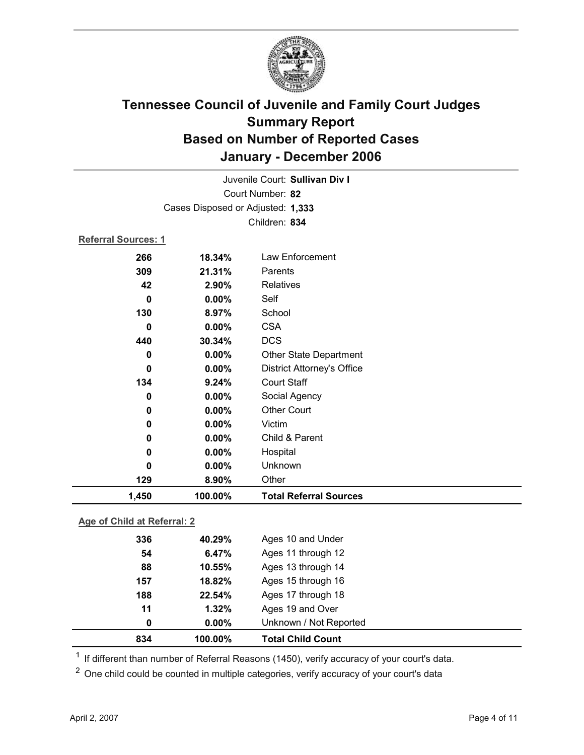

| Juvenile Court: Sullivan Div I |                                   |                                   |  |  |  |
|--------------------------------|-----------------------------------|-----------------------------------|--|--|--|
|                                | Court Number: 82                  |                                   |  |  |  |
|                                | Cases Disposed or Adjusted: 1,333 |                                   |  |  |  |
|                                | Children: 834                     |                                   |  |  |  |
| <b>Referral Sources: 1</b>     |                                   |                                   |  |  |  |
| 266                            | 18.34%                            | Law Enforcement                   |  |  |  |
| 309                            | 21.31%                            | Parents                           |  |  |  |
| 42                             | 2.90%                             | <b>Relatives</b>                  |  |  |  |
| 0                              | 0.00%                             | Self                              |  |  |  |
| 130                            | 8.97%                             | School                            |  |  |  |
| 0                              | $0.00\%$                          | <b>CSA</b>                        |  |  |  |
| 440                            | 30.34%                            | <b>DCS</b>                        |  |  |  |
| 0                              | 0.00%                             | Other State Department            |  |  |  |
| 0                              | 0.00%                             | <b>District Attorney's Office</b> |  |  |  |
| 134                            | 9.24%                             | <b>Court Staff</b>                |  |  |  |
| 0                              | $0.00\%$                          | Social Agency                     |  |  |  |
| 0                              | $0.00\%$                          | <b>Other Court</b>                |  |  |  |
| 0                              | 0.00%                             | Victim                            |  |  |  |
| 0                              | 0.00%                             | Child & Parent                    |  |  |  |
| 0                              | 0.00%                             | Hospital                          |  |  |  |
| 0                              | 0.00%                             | Unknown                           |  |  |  |
| 129                            | 8.90%                             | Other                             |  |  |  |
| 1,450                          | 100.00%                           | <b>Total Referral Sources</b>     |  |  |  |

#### **Age of Child at Referral: 2**

| 834 | 100.00%  | <b>Total Child Count</b> |  |
|-----|----------|--------------------------|--|
| 0   | $0.00\%$ | Unknown / Not Reported   |  |
| 11  | 1.32%    | Ages 19 and Over         |  |
| 188 | 22.54%   | Ages 17 through 18       |  |
| 157 | 18.82%   | Ages 15 through 16       |  |
| 88  | 10.55%   | Ages 13 through 14       |  |
| 54  | 6.47%    | Ages 11 through 12       |  |
| 336 | 40.29%   | Ages 10 and Under        |  |
|     |          |                          |  |

 $1$  If different than number of Referral Reasons (1450), verify accuracy of your court's data.

<sup>2</sup> One child could be counted in multiple categories, verify accuracy of your court's data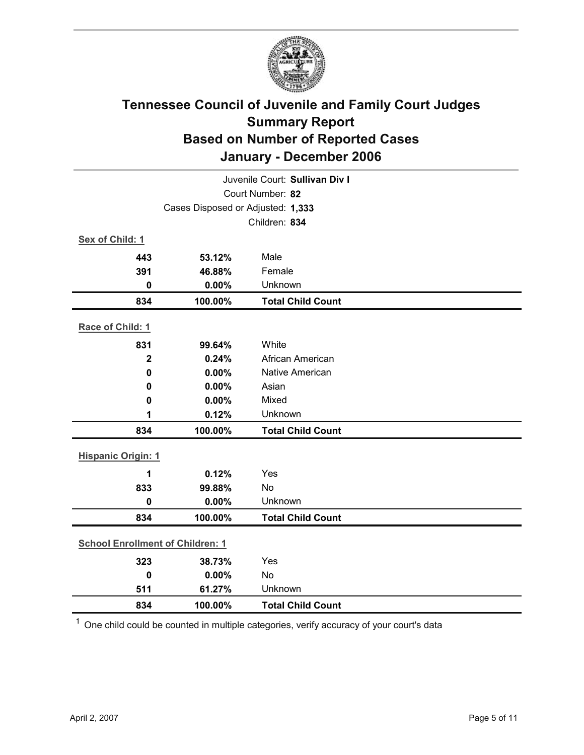

| Juvenile Court: Sullivan Div I          |                                   |                          |  |
|-----------------------------------------|-----------------------------------|--------------------------|--|
|                                         | Court Number: 82                  |                          |  |
|                                         | Cases Disposed or Adjusted: 1,333 |                          |  |
|                                         |                                   | Children: 834            |  |
| Sex of Child: 1                         |                                   |                          |  |
| 443                                     | 53.12%                            | Male                     |  |
| 391                                     | 46.88%                            | Female                   |  |
| $\mathbf 0$                             | 0.00%                             | Unknown                  |  |
| 834                                     | 100.00%                           | <b>Total Child Count</b> |  |
| Race of Child: 1                        |                                   |                          |  |
| 831                                     | 99.64%                            | White                    |  |
| $\overline{2}$                          | 0.24%                             | African American         |  |
| $\mathbf 0$                             | 0.00%                             | Native American          |  |
| 0                                       | 0.00%                             | Asian                    |  |
| 0                                       | 0.00%                             | Mixed                    |  |
| 1                                       | 0.12%                             | Unknown                  |  |
| 834                                     | 100.00%                           | <b>Total Child Count</b> |  |
| <b>Hispanic Origin: 1</b>               |                                   |                          |  |
| 1                                       | 0.12%                             | Yes                      |  |
| 833                                     | 99.88%                            | No                       |  |
| $\mathbf 0$                             | 0.00%                             | Unknown                  |  |
| 834                                     | 100.00%                           | <b>Total Child Count</b> |  |
| <b>School Enrollment of Children: 1</b> |                                   |                          |  |
| 323                                     |                                   | Yes                      |  |
| $\mathbf 0$                             | 38.73%<br>0.00%                   | No                       |  |
| 511                                     | 61.27%                            | Unknown                  |  |
| 834                                     | 100.00%                           | <b>Total Child Count</b> |  |
|                                         |                                   |                          |  |

 $1$  One child could be counted in multiple categories, verify accuracy of your court's data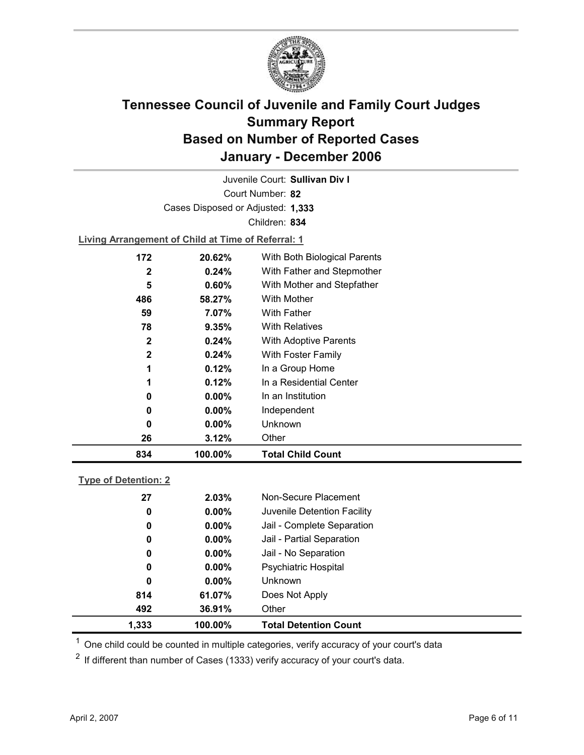

Court Number: **82** Juvenile Court: **Sullivan Div I** Cases Disposed or Adjusted: **1,333** Children: **834**

**Living Arrangement of Child at Time of Referral: 1**

| 834          | 100.00%  | <b>Total Child Count</b>     |
|--------------|----------|------------------------------|
| 26           | 3.12%    | Other                        |
| 0            | $0.00\%$ | Unknown                      |
| 0            | $0.00\%$ | Independent                  |
| 0            | $0.00\%$ | In an Institution            |
| 1            | 0.12%    | In a Residential Center      |
| 1            | 0.12%    | In a Group Home              |
| $\mathbf{2}$ | $0.24\%$ | With Foster Family           |
| $\mathbf{2}$ | 0.24%    | With Adoptive Parents        |
| 78           | 9.35%    | <b>With Relatives</b>        |
| 59           | 7.07%    | <b>With Father</b>           |
| 486          | 58.27%   | With Mother                  |
| 5            | 0.60%    | With Mother and Stepfather   |
| 2            | 0.24%    | With Father and Stepmother   |
| 172          | 20.62%   | With Both Biological Parents |
|              |          |                              |

#### **Type of Detention: 2**

| 1,333 | 100.00%  | <b>Total Detention Count</b> |  |
|-------|----------|------------------------------|--|
| 492   | 36.91%   | Other                        |  |
| 814   | 61.07%   | Does Not Apply               |  |
| 0     | $0.00\%$ | <b>Unknown</b>               |  |
| 0     | $0.00\%$ | Psychiatric Hospital         |  |
| 0     | $0.00\%$ | Jail - No Separation         |  |
| 0     | $0.00\%$ | Jail - Partial Separation    |  |
| 0     | $0.00\%$ | Jail - Complete Separation   |  |
| 0     | $0.00\%$ | Juvenile Detention Facility  |  |
| 27    | 2.03%    | Non-Secure Placement         |  |
|       |          |                              |  |

 $<sup>1</sup>$  One child could be counted in multiple categories, verify accuracy of your court's data</sup>

 $2$  If different than number of Cases (1333) verify accuracy of your court's data.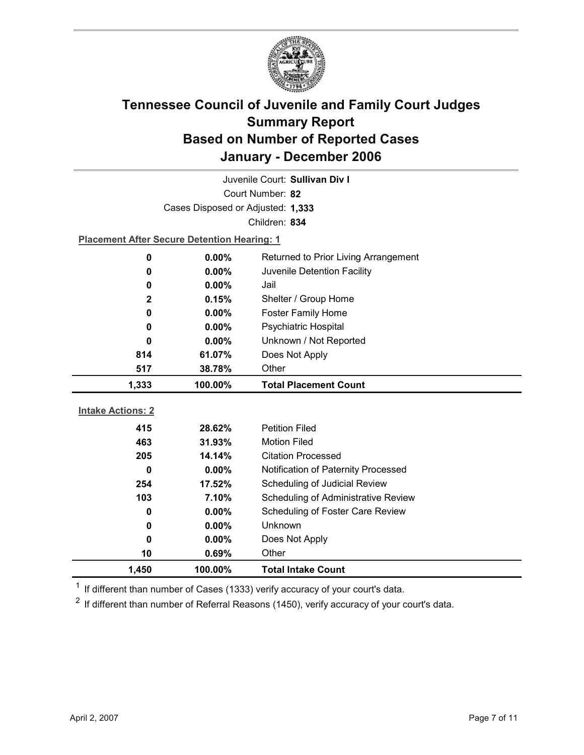

| Juvenile Court: Sullivan Div I |                                                    |                                            |  |  |
|--------------------------------|----------------------------------------------------|--------------------------------------------|--|--|
| Court Number: 82               |                                                    |                                            |  |  |
|                                | Cases Disposed or Adjusted: 1,333                  |                                            |  |  |
|                                |                                                    | Children: 834                              |  |  |
|                                | <b>Placement After Secure Detention Hearing: 1</b> |                                            |  |  |
| 0                              | 0.00%                                              | Returned to Prior Living Arrangement       |  |  |
| 0                              | 0.00%                                              | Juvenile Detention Facility                |  |  |
| 0                              | 0.00%                                              | Jail                                       |  |  |
| $\mathbf{2}$                   | 0.15%                                              | Shelter / Group Home                       |  |  |
| 0                              | $0.00\%$                                           | <b>Foster Family Home</b>                  |  |  |
| 0                              | $0.00\%$                                           | <b>Psychiatric Hospital</b>                |  |  |
| 0                              | $0.00\%$                                           | Unknown / Not Reported                     |  |  |
| 814                            | 61.07%                                             | Does Not Apply                             |  |  |
| 517                            | 38.78%                                             | Other                                      |  |  |
|                                |                                                    |                                            |  |  |
| 1,333                          | 100.00%                                            | <b>Total Placement Count</b>               |  |  |
|                                |                                                    |                                            |  |  |
| <b>Intake Actions: 2</b>       |                                                    |                                            |  |  |
| 415                            | 28.62%                                             | <b>Petition Filed</b>                      |  |  |
| 463                            | 31.93%                                             | <b>Motion Filed</b>                        |  |  |
| 205                            | 14.14%                                             | <b>Citation Processed</b>                  |  |  |
| $\bf{0}$                       | $0.00\%$                                           | Notification of Paternity Processed        |  |  |
| 254                            | 17.52%                                             | Scheduling of Judicial Review              |  |  |
| 103                            | 7.10%                                              | <b>Scheduling of Administrative Review</b> |  |  |
| 0                              | $0.00\%$                                           | Scheduling of Foster Care Review           |  |  |
| 0                              | $0.00\%$                                           | <b>Unknown</b>                             |  |  |
| 0                              | $0.00\%$                                           | Does Not Apply                             |  |  |
| 10<br>1,450                    | 0.69%<br>100.00%                                   | Other<br><b>Total Intake Count</b>         |  |  |

 $1$  If different than number of Cases (1333) verify accuracy of your court's data.

 $2$  If different than number of Referral Reasons (1450), verify accuracy of your court's data.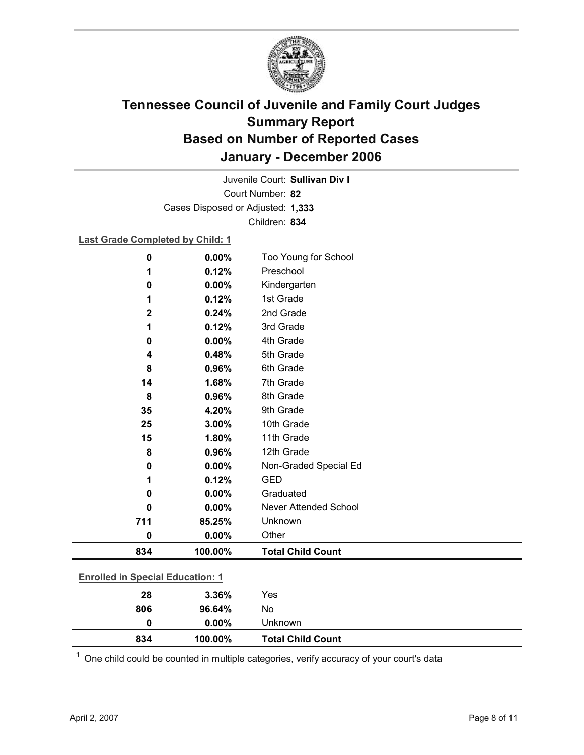

Court Number: **82** Juvenile Court: **Sullivan Div I** Cases Disposed or Adjusted: **1,333** Children: **834**

**Last Grade Completed by Child: 1**

| 0                                       | 0.00%    | Too Young for School         |  |
|-----------------------------------------|----------|------------------------------|--|
| 1                                       | 0.12%    | Preschool                    |  |
| 0                                       | 0.00%    | Kindergarten                 |  |
| 1                                       | 0.12%    | 1st Grade                    |  |
| $\mathbf 2$                             | 0.24%    | 2nd Grade                    |  |
| 1                                       | 0.12%    | 3rd Grade                    |  |
| 0                                       | 0.00%    | 4th Grade                    |  |
| 4                                       | 0.48%    | 5th Grade                    |  |
| 8                                       | 0.96%    | 6th Grade                    |  |
| 14                                      | 1.68%    | 7th Grade                    |  |
| 8                                       | 0.96%    | 8th Grade                    |  |
| 35                                      | 4.20%    | 9th Grade                    |  |
| 25                                      | 3.00%    | 10th Grade                   |  |
| 15                                      | 1.80%    | 11th Grade                   |  |
| 8                                       | 0.96%    | 12th Grade                   |  |
| 0                                       | 0.00%    | Non-Graded Special Ed        |  |
| 1                                       | 0.12%    | <b>GED</b>                   |  |
| 0                                       | 0.00%    | Graduated                    |  |
| 0                                       | $0.00\%$ | <b>Never Attended School</b> |  |
| 711                                     | 85.25%   | Unknown                      |  |
| $\bf{0}$                                | 0.00%    | Other                        |  |
| 834                                     | 100.00%  | <b>Total Child Count</b>     |  |
|                                         |          |                              |  |
| <b>Enrolled in Special Education: 1</b> |          |                              |  |
| 28                                      | 3.36%    | Yes                          |  |
| 806                                     | 96.64%   | No                           |  |

**834 100.00% Total Child Count**  $1$  One child could be counted in multiple categories, verify accuracy of your court's data

**0 0.00%** Unknown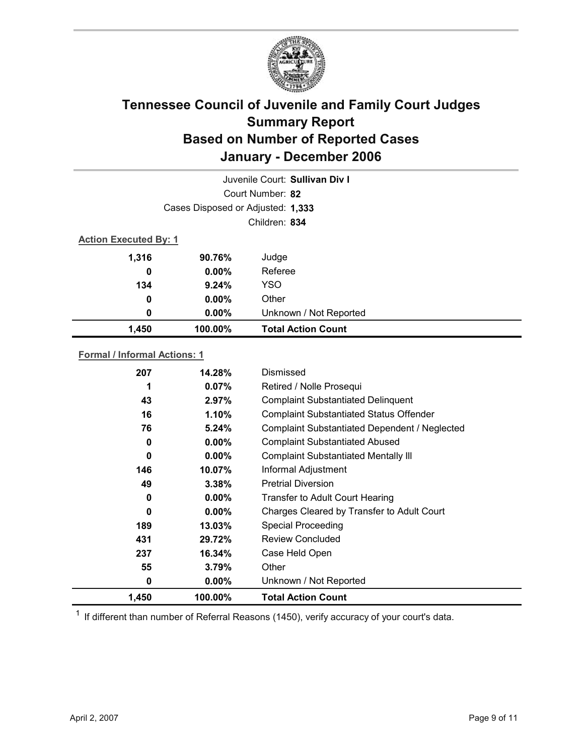

| Juvenile Court: Sullivan Div I      |                                   |                                    |  |  |
|-------------------------------------|-----------------------------------|------------------------------------|--|--|
| Court Number: 82                    |                                   |                                    |  |  |
|                                     | Cases Disposed or Adjusted: 1,333 |                                    |  |  |
|                                     |                                   | Children: 834                      |  |  |
| <b>Action Executed By: 1</b>        |                                   |                                    |  |  |
| 1,316                               | 90.76%                            | Judge                              |  |  |
| 0                                   | $0.00\%$                          | Referee                            |  |  |
| 134                                 | 9.24%                             | YSO                                |  |  |
| 0                                   | $0.00\%$                          | Other                              |  |  |
| 0                                   | $0.00\%$                          | Unknown / Not Reported             |  |  |
| 1,450                               | 100.00%                           | <b>Total Action Count</b>          |  |  |
| <b>Formal / Informal Actions: 1</b> |                                   |                                    |  |  |
| 207                                 | 14.28%                            | Dismissed                          |  |  |
| 1                                   | 0.07%                             | Retired / Nolle Prosequi           |  |  |
| 43                                  | 297%                              | Complaint Substantiated Delinguent |  |  |

| 1,450 | 100.00%  | <b>Total Action Count</b>                            |
|-------|----------|------------------------------------------------------|
| 0     | $0.00\%$ | Unknown / Not Reported                               |
| 55    | 3.79%    | Other                                                |
| 237   | 16.34%   | Case Held Open                                       |
| 431   | 29.72%   | Review Concluded                                     |
| 189   | 13.03%   | <b>Special Proceeding</b>                            |
| 0     | $0.00\%$ | Charges Cleared by Transfer to Adult Court           |
| 0     | $0.00\%$ | Transfer to Adult Court Hearing                      |
| 49    | 3.38%    | <b>Pretrial Diversion</b>                            |
| 146   | 10.07%   | Informal Adjustment                                  |
| 0     | $0.00\%$ | <b>Complaint Substantiated Mentally III</b>          |
| 0     | $0.00\%$ | <b>Complaint Substantiated Abused</b>                |
| 76    | $5.24\%$ | <b>Complaint Substantiated Dependent / Neglected</b> |
| 16    | 1.10%    | <b>Complaint Substantiated Status Offender</b>       |
| 43    | 2.97%    | <b>Complaint Substantiated Delinquent</b>            |

 $1$  If different than number of Referral Reasons (1450), verify accuracy of your court's data.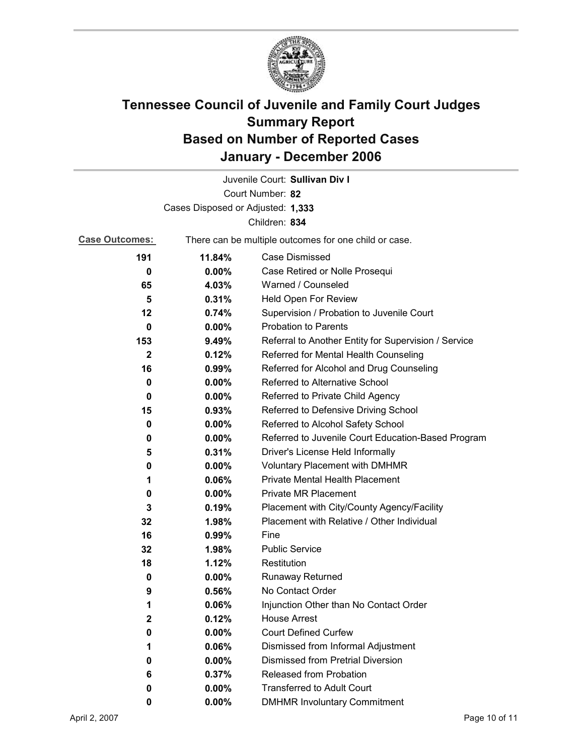

|                       |                                                       | Juvenile Court: Sullivan Div I                       |  |
|-----------------------|-------------------------------------------------------|------------------------------------------------------|--|
|                       |                                                       | Court Number: 82                                     |  |
|                       | Cases Disposed or Adjusted: 1,333                     |                                                      |  |
|                       |                                                       | Children: 834                                        |  |
| <b>Case Outcomes:</b> | There can be multiple outcomes for one child or case. |                                                      |  |
| 191                   | 11.84%                                                | <b>Case Dismissed</b>                                |  |
| 0                     | $0.00\%$                                              | Case Retired or Nolle Prosequi                       |  |
| 65                    | 4.03%                                                 | Warned / Counseled                                   |  |
| 5                     | 0.31%                                                 | Held Open For Review                                 |  |
| 12                    | 0.74%                                                 | Supervision / Probation to Juvenile Court            |  |
| 0                     | $0.00\%$                                              | <b>Probation to Parents</b>                          |  |
| 153                   | 9.49%                                                 | Referral to Another Entity for Supervision / Service |  |
| $\mathbf{2}$          | 0.12%                                                 | Referred for Mental Health Counseling                |  |
| 16                    | 0.99%                                                 | Referred for Alcohol and Drug Counseling             |  |
| 0                     | 0.00%                                                 | Referred to Alternative School                       |  |
| 0                     | $0.00\%$                                              | Referred to Private Child Agency                     |  |
| 15                    | 0.93%                                                 | Referred to Defensive Driving School                 |  |
| 0                     | $0.00\%$                                              | Referred to Alcohol Safety School                    |  |
| 0                     | 0.00%                                                 | Referred to Juvenile Court Education-Based Program   |  |
| 5                     | 0.31%                                                 | Driver's License Held Informally                     |  |
| 0                     | $0.00\%$                                              | <b>Voluntary Placement with DMHMR</b>                |  |
| 1                     | 0.06%                                                 | <b>Private Mental Health Placement</b>               |  |
| 0                     | $0.00\%$                                              | <b>Private MR Placement</b>                          |  |
| 3                     | 0.19%                                                 | Placement with City/County Agency/Facility           |  |
| 32                    | 1.98%                                                 | Placement with Relative / Other Individual           |  |
| 16                    | 0.99%                                                 | Fine                                                 |  |
| 32                    | 1.98%                                                 | <b>Public Service</b>                                |  |
| 18                    | 1.12%                                                 | Restitution                                          |  |
| 0                     | $0.00\%$                                              | <b>Runaway Returned</b>                              |  |
| 9                     | 0.56%                                                 | No Contact Order                                     |  |
| 1                     | 0.06%                                                 | Injunction Other than No Contact Order               |  |
| 2                     | 0.12%                                                 | <b>House Arrest</b>                                  |  |
| 0                     | $0.00\%$                                              | <b>Court Defined Curfew</b>                          |  |
| 1                     | 0.06%                                                 | Dismissed from Informal Adjustment                   |  |
| 0                     | $0.00\%$                                              | <b>Dismissed from Pretrial Diversion</b>             |  |
| 6                     | 0.37%                                                 | Released from Probation                              |  |
| 0                     | $0.00\%$                                              | <b>Transferred to Adult Court</b>                    |  |
| 0                     | $0.00\%$                                              | <b>DMHMR Involuntary Commitment</b>                  |  |